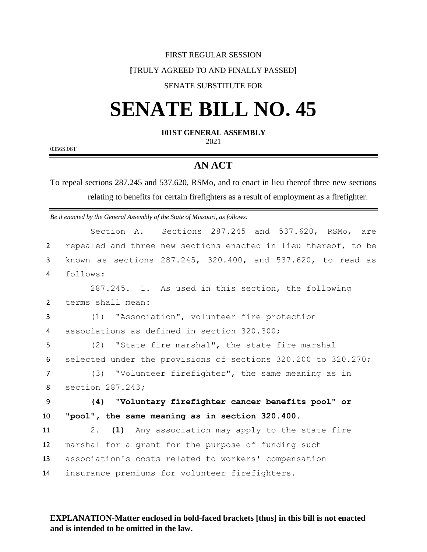### FIRST REGULAR SESSION

### **[**TRULY AGREED TO AND FINALLY PASSED**]**

## SENATE SUBSTITUTE FOR

# **SENATE BILL NO. 45**

### **101ST GENERAL ASSEMBLY**

2021

0356S.06T

# **AN ACT**

To repeal sections 287.245 and 537.620, RSMo, and to enact in lieu thereof three new sections relating to benefits for certain firefighters as a result of employment as a firefighter.

*Be it enacted by the General Assembly of the State of Missouri, as follows:*

|                | Section A. Sections 287.245 and 537.620, RSMo, are             |
|----------------|----------------------------------------------------------------|
| $\overline{2}$ | repealed and three new sections enacted in lieu thereof, to be |
| 3              | known as sections 287.245, 320.400, and 537.620, to read as    |
| 4              | follows:                                                       |
|                | 287.245. 1. As used in this section, the following             |
| 2              | terms shall mean:                                              |
| 3              | (1) "Association", volunteer fire protection                   |
| 4              | associations as defined in section 320.300;                    |
| 5              | (2) "State fire marshal", the state fire marshal               |
| 6              | selected under the provisions of sections 320.200 to 320.270;  |
| $\overline{7}$ | (3) "Volunteer firefighter", the same meaning as in            |
| 8              | section 287.243;                                               |
| 9              | (4) "Voluntary firefighter cancer benefits pool" or            |
| 10             | "pool", the same meaning as in section 320.400.                |
| 11             | (1) Any association may apply to the state fire<br>2.          |
| 12             | marshal for a grant for the purpose of funding such            |
| 13             | association's costs related to workers' compensation           |
| 14             | insurance premiums for volunteer firefighters.                 |

## **EXPLANATION-Matter enclosed in bold-faced brackets [thus] in this bill is not enacted and is intended to be omitted in the law.**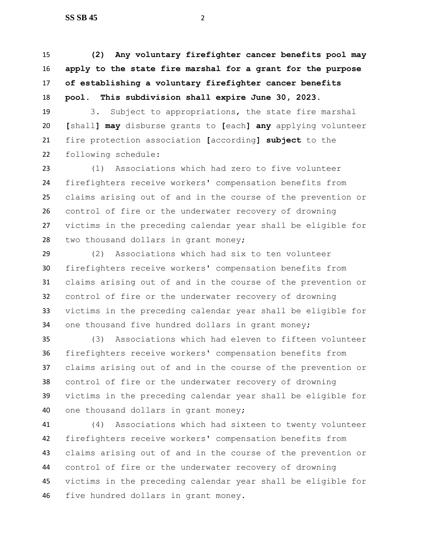**(2) Any voluntary firefighter cancer benefits pool may apply to the state fire marshal for a grant for the purpose of establishing a voluntary firefighter cancer benefits pool. This subdivision shall expire June 30, 2023.**

 3. Subject to appropriations, the state fire marshal **[**shall**] may** disburse grants to **[**each**] any** applying volunteer fire protection association **[**according**] subject** to the following schedule:

 (1) Associations which had zero to five volunteer firefighters receive workers' compensation benefits from claims arising out of and in the course of the prevention or control of fire or the underwater recovery of drowning victims in the preceding calendar year shall be eligible for two thousand dollars in grant money;

 (2) Associations which had six to ten volunteer firefighters receive workers' compensation benefits from claims arising out of and in the course of the prevention or control of fire or the underwater recovery of drowning victims in the preceding calendar year shall be eligible for one thousand five hundred dollars in grant money;

 (3) Associations which had eleven to fifteen volunteer firefighters receive workers' compensation benefits from claims arising out of and in the course of the prevention or control of fire or the underwater recovery of drowning victims in the preceding calendar year shall be eligible for one thousand dollars in grant money;

 (4) Associations which had sixteen to twenty volunteer firefighters receive workers' compensation benefits from claims arising out of and in the course of the prevention or control of fire or the underwater recovery of drowning victims in the preceding calendar year shall be eligible for five hundred dollars in grant money.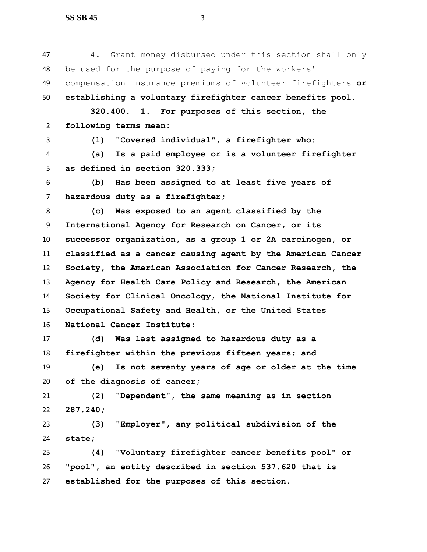| 47             | Grant money disbursed under this section shall only<br>4.    |
|----------------|--------------------------------------------------------------|
| 48             | be used for the purpose of paying for the workers'           |
| 49             | compensation insurance premiums of volunteer firefighters or |
| 50             | establishing a voluntary firefighter cancer benefits pool.   |
|                | 320.400. 1. For purposes of this section, the                |
| $\overline{2}$ | following terms mean:                                        |
| 3              | "Covered individual", a firefighter who:<br>(1)              |
| 4              | Is a paid employee or is a volunteer firefighter<br>(a)      |
| 5              | as defined in section 320.333;                               |
| 6              | Has been assigned to at least five years of<br>(b)           |
| $\overline{7}$ | hazardous duty as a firefighter;                             |
| 8              | Was exposed to an agent classified by the<br>(c)             |
| 9              | International Agency for Research on Cancer, or its          |
| 10             | successor organization, as a group 1 or 2A carcinogen, or    |
| 11             | classified as a cancer causing agent by the American Cancer  |
| 12             | Society, the American Association for Cancer Research, the   |
| 13             | Agency for Health Care Policy and Research, the American     |
| 14             | Society for Clinical Oncology, the National Institute for    |
| 15             | Occupational Safety and Health, or the United States         |
| 16             | National Cancer Institute;                                   |
| 17             | Was last assigned to hazardous duty as a<br>(d)              |
| 18             | firefighter within the previous fifteen years; and           |
| 19             | Is not seventy years of age or older at the time<br>(e)      |
| 20             | of the diagnosis of cancer;                                  |
| 21             | "Dependent", the same meaning as in section<br>(2)           |
| 22             | 287.240;                                                     |
| 23             | "Employer", any political subdivision of the<br>(3)          |
| 24             | state;                                                       |
| 25             | "Voluntary firefighter cancer benefits pool" or<br>(4)       |

 **"pool", an entity described in section 537.620 that is established for the purposes of this section.**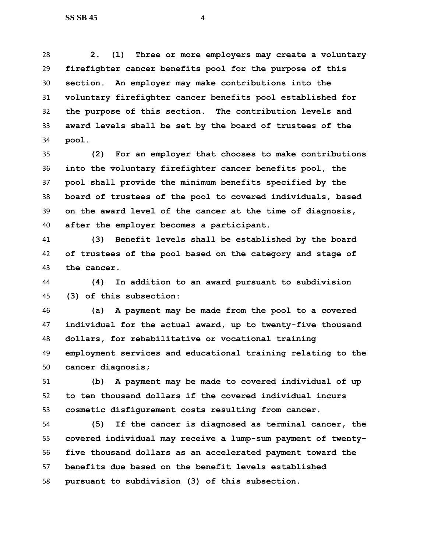**2. (1) Three or more employers may create a voluntary firefighter cancer benefits pool for the purpose of this section. An employer may make contributions into the voluntary firefighter cancer benefits pool established for the purpose of this section. The contribution levels and award levels shall be set by the board of trustees of the pool.**

 **(2) For an employer that chooses to make contributions into the voluntary firefighter cancer benefits pool, the pool shall provide the minimum benefits specified by the board of trustees of the pool to covered individuals, based on the award level of the cancer at the time of diagnosis, after the employer becomes a participant.**

 **(3) Benefit levels shall be established by the board of trustees of the pool based on the category and stage of the cancer.**

 **(4) In addition to an award pursuant to subdivision (3) of this subsection:**

 **(a) A payment may be made from the pool to a covered individual for the actual award, up to twenty-five thousand dollars, for rehabilitative or vocational training employment services and educational training relating to the cancer diagnosis;**

 **(b) A payment may be made to covered individual of up to ten thousand dollars if the covered individual incurs cosmetic disfigurement costs resulting from cancer.**

 **(5) If the cancer is diagnosed as terminal cancer, the covered individual may receive a lump-sum payment of twenty- five thousand dollars as an accelerated payment toward the benefits due based on the benefit levels established pursuant to subdivision (3) of this subsection.**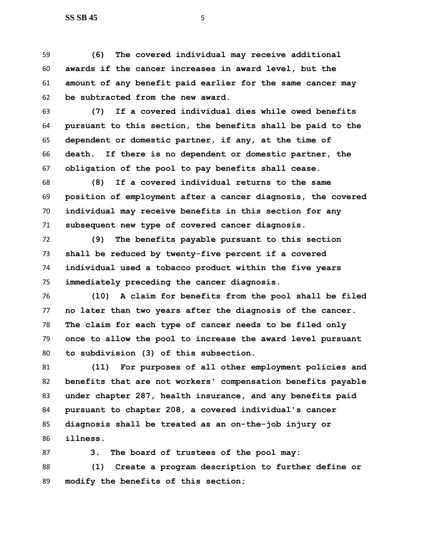**(6) The covered individual may receive additional awards if the cancer increases in award level, but the amount of any benefit paid earlier for the same cancer may be subtracted from the new award.**

 **(7) If a covered individual dies while owed benefits pursuant to this section, the benefits shall be paid to the dependent or domestic partner, if any, at the time of death. If there is no dependent or domestic partner, the obligation of the pool to pay benefits shall cease.**

 **(8) If a covered individual returns to the same position of employment after a cancer diagnosis, the covered individual may receive benefits in this section for any subsequent new type of covered cancer diagnosis.**

 **(9) The benefits payable pursuant to this section shall be reduced by twenty-five percent if a covered individual used a tobacco product within the five years immediately preceding the cancer diagnosis.**

 **(10) A claim for benefits from the pool shall be filed no later than two years after the diagnosis of the cancer. The claim for each type of cancer needs to be filed only once to allow the pool to increase the award level pursuant to subdivision (3) of this subsection.**

 **(11) For purposes of all other employment policies and benefits that are not workers' compensation benefits payable under chapter 287, health insurance, and any benefits paid pursuant to chapter 208, a covered individual's cancer diagnosis shall be treated as an on-the-job injury or illness.** 

 **3. The board of trustees of the pool may: (1) Create a program description to further define or modify the benefits of this section;**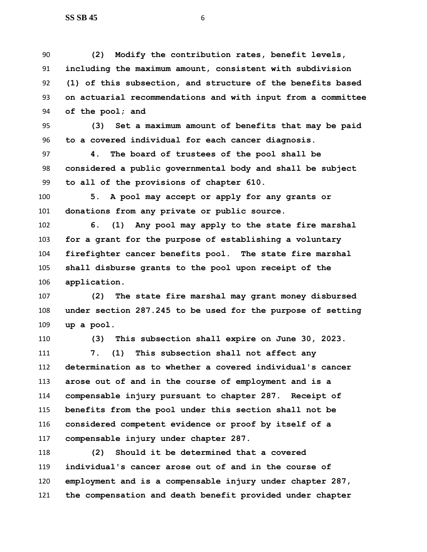**(2) Modify the contribution rates, benefit levels, including the maximum amount, consistent with subdivision (1) of this subsection, and structure of the benefits based on actuarial recommendations and with input from a committee of the pool; and**

 **(3) Set a maximum amount of benefits that may be paid to a covered individual for each cancer diagnosis.**

 **4. The board of trustees of the pool shall be considered a public governmental body and shall be subject to all of the provisions of chapter 610.**

 **5. A pool may accept or apply for any grants or donations from any private or public source.**

 **6. (1) Any pool may apply to the state fire marshal for a grant for the purpose of establishing a voluntary firefighter cancer benefits pool. The state fire marshal shall disburse grants to the pool upon receipt of the application.**

 **(2) The state fire marshal may grant money disbursed under section 287.245 to be used for the purpose of setting up a pool.**

**(3) This subsection shall expire on June 30, 2023.**

 **7. (1) This subsection shall not affect any determination as to whether a covered individual's cancer arose out of and in the course of employment and is a compensable injury pursuant to chapter 287. Receipt of benefits from the pool under this section shall not be considered competent evidence or proof by itself of a compensable injury under chapter 287.**

 **(2) Should it be determined that a covered individual's cancer arose out of and in the course of employment and is a compensable injury under chapter 287, the compensation and death benefit provided under chapter**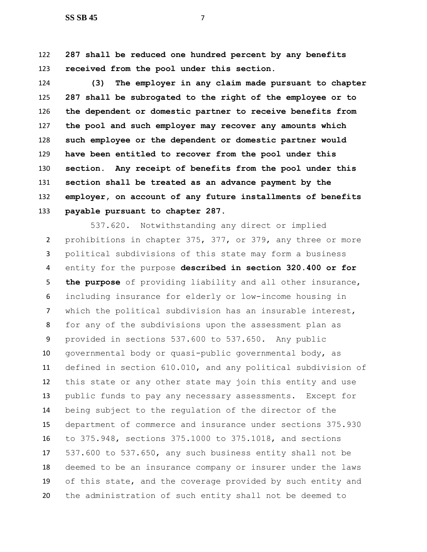**287 shall be reduced one hundred percent by any benefits received from the pool under this section.**

 **(3) The employer in any claim made pursuant to chapter 287 shall be subrogated to the right of the employee or to the dependent or domestic partner to receive benefits from the pool and such employer may recover any amounts which such employee or the dependent or domestic partner would have been entitled to recover from the pool under this section. Any receipt of benefits from the pool under this section shall be treated as an advance payment by the employer, on account of any future installments of benefits payable pursuant to chapter 287.**

537.620. Notwithstanding any direct or implied prohibitions in chapter 375, 377, or 379, any three or more political subdivisions of this state may form a business entity for the purpose **described in section 320.400 or for the purpose** of providing liability and all other insurance, including insurance for elderly or low-income housing in which the political subdivision has an insurable interest, for any of the subdivisions upon the assessment plan as provided in sections 537.600 to 537.650. Any public governmental body or quasi-public governmental body, as defined in section 610.010, and any political subdivision of this state or any other state may join this entity and use public funds to pay any necessary assessments. Except for being subject to the regulation of the director of the department of commerce and insurance under sections 375.930 to 375.948, sections 375.1000 to 375.1018, and sections 537.600 to 537.650, any such business entity shall not be deemed to be an insurance company or insurer under the laws of this state, and the coverage provided by such entity and the administration of such entity shall not be deemed to